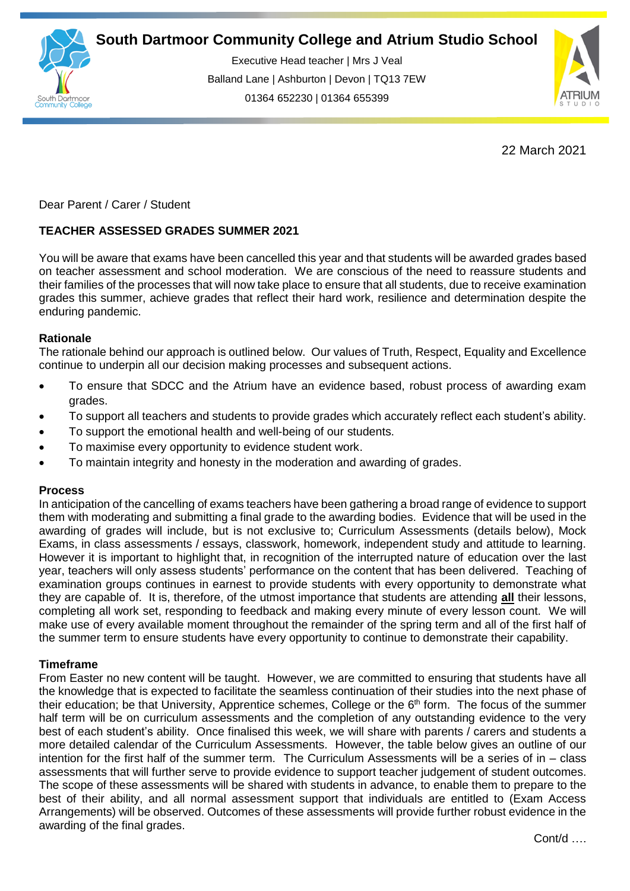

Executive Head teacher | Mrs J Veal Balland Lane | Ashburton | Devon | TQ13 7EW 01364 652230 | 01364 655399

ww.south.co.uk | [www.atrium-studio.co.uk](http://www.atrium-studio.co.uk/) | www.atrium-studio.co.uk



22 March 2021

Dear Parent / Carer / Student

# **TEACHER ASSESSED GRADES SUMMER 2021**

You will be aware that exams have been cancelled this year and that students will be awarded grades based on teacher assessment and school moderation. We are conscious of the need to reassure students and their families of the processes that will now take place to ensure that all students, due to receive examination grades this summer, achieve grades that reflect their hard work, resilience and determination despite the enduring pandemic.

## **Rationale**

The rationale behind our approach is outlined below. Our values of Truth, Respect, Equality and Excellence continue to underpin all our decision making processes and subsequent actions.

- To ensure that SDCC and the Atrium have an evidence based, robust process of awarding exam grades.
- To support all teachers and students to provide grades which accurately reflect each student's ability.
- To support the emotional health and well-being of our students.
- To maximise every opportunity to evidence student work.
- To maintain integrity and honesty in the moderation and awarding of grades.

### **Process**

In anticipation of the cancelling of exams teachers have been gathering a broad range of evidence to support them with moderating and submitting a final grade to the awarding bodies. Evidence that will be used in the awarding of grades will include, but is not exclusive to; Curriculum Assessments (details below), Mock Exams, in class assessments / essays, classwork, homework, independent study and attitude to learning. However it is important to highlight that, in recognition of the interrupted nature of education over the last year, teachers will only assess students' performance on the content that has been delivered. Teaching of examination groups continues in earnest to provide students with every opportunity to demonstrate what they are capable of. It is, therefore, of the utmost importance that students are attending **all** their lessons, completing all work set, responding to feedback and making every minute of every lesson count. We will make use of every available moment throughout the remainder of the spring term and all of the first half of the summer term to ensure students have every opportunity to continue to demonstrate their capability.

## **Timeframe**

From Easter no new content will be taught. However, we are committed to ensuring that students have all the knowledge that is expected to facilitate the seamless continuation of their studies into the next phase of their education; be that University, Apprentice schemes, College or the 6<sup>th</sup> form. The focus of the summer half term will be on curriculum assessments and the completion of any outstanding evidence to the very best of each student's ability. Once finalised this week, we will share with parents / carers and students a more detailed calendar of the Curriculum Assessments. However, the table below gives an outline of our intention for the first half of the summer term. The Curriculum Assessments will be a series of in – class assessments that will further serve to provide evidence to support teacher judgement of student outcomes. The scope of these assessments will be shared with students in advance, to enable them to prepare to the best of their ability, and all normal assessment support that individuals are entitled to (Exam Access Arrangements) will be observed. Outcomes of these assessments will provide further robust evidence in the awarding of the final grades.